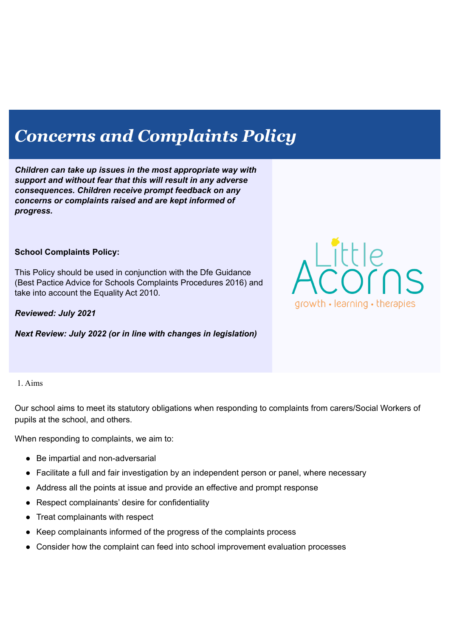# *Concerns and Complaints Policy*

*Children can take up issues in the most appropriate way with support and without fear that this will result in any adverse consequences. Children receive prompt feedback on any concerns or complaints raised and are kept informed of progress.*

#### **School Complaints Policy:**

This Policy should be used in conjunction with the Dfe Guidance (Best Pactice Advice for Schools Complaints Procedures 2016) and take into account the Equality Act 2010.

*Reviewed: July 2021*

*Next Review: July 2022 (or in line with changes in legislation)*



#### 1. Aims

Our school aims to meet its statutory obligations when responding to complaints from carers/Social Workers of pupils at the school, and others.

When responding to complaints, we aim to:

- Be impartial and non-adversarial
- Facilitate a full and fair investigation by an independent person or panel, where necessary
- Address all the points at issue and provide an effective and prompt response
- Respect complainants' desire for confidentiality
- Treat complainants with respect
- Keep complainants informed of the progress of the complaints process
- Consider how the complaint can feed into school improvement evaluation processes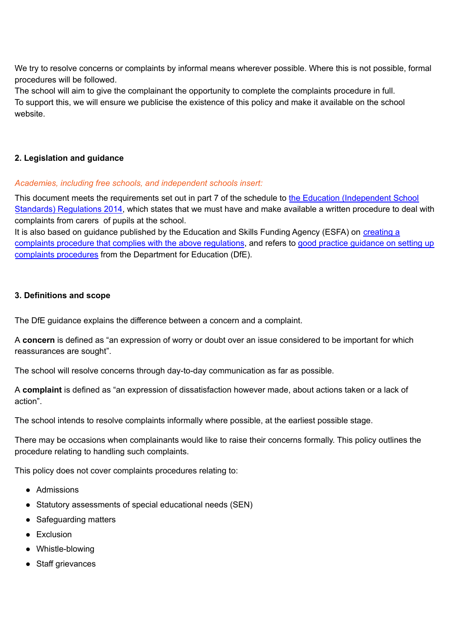We try to resolve concerns or complaints by informal means wherever possible. Where this is not possible, formal procedures will be followed.

The school will aim to give the complainant the opportunity to complete the complaints procedure in full. To support this, we will ensure we publicise the existence of this policy and make it available on the school website.

## **2. Legislation and guidance**

## *Academies, including free schools, and independent schools insert:*

This document meets the requirements set out in part 7 of the schedule to the Education [\(Independent](http://www.legislation.gov.uk/uksi/2014/3283/schedule/made) School Standards) [Regulations](http://www.legislation.gov.uk/uksi/2014/3283/schedule/made) 2014, which states that we must have and make available a written procedure to deal with complaints from carers of pupils at the school.

It is also based on guidance published by the Education and Skills Funding Agency (ESFA) on [creating](https://www.gov.uk/government/publications/setting-up-an-academies-complaints-procedure) a complaints procedure that complies with the above [regulations](https://www.gov.uk/government/publications/setting-up-an-academies-complaints-procedure), and refers to good practice [guidance](https://www.gov.uk/government/publications/school-complaints-procedures) on setting up complaints [procedures](https://www.gov.uk/government/publications/school-complaints-procedures) from the Department for Education (DfE).

## **3. Definitions and scope**

The DfE guidance explains the difference between a concern and a complaint.

A **concern** is defined as "an expression of worry or doubt over an issue considered to be important for which reassurances are sought".

The school will resolve concerns through day-to-day communication as far as possible.

A **complaint** is defined as "an expression of dissatisfaction however made, about actions taken or a lack of action".

The school intends to resolve complaints informally where possible, at the earliest possible stage.

There may be occasions when complainants would like to raise their concerns formally. This policy outlines the procedure relating to handling such complaints.

This policy does not cover complaints procedures relating to:

- Admissions
- Statutory assessments of special educational needs (SEN)
- Safeguarding matters
- Exclusion
- Whistle-blowing
- Staff grievances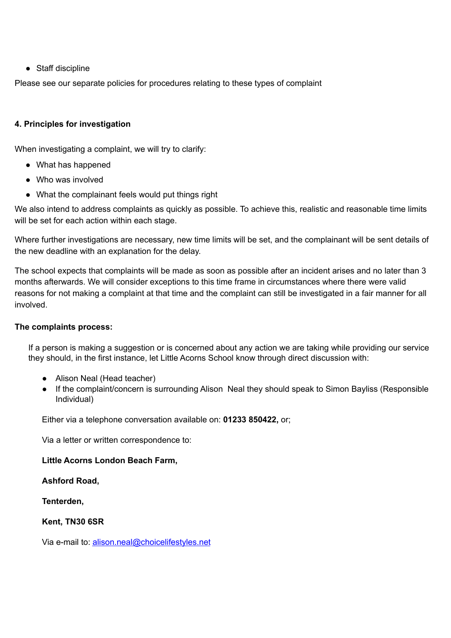● Staff discipline

Please see our separate policies for procedures relating to these types of complaint

#### **4. Principles for investigation**

When investigating a complaint, we will try to clarify:

- What has happened
- Who was involved
- What the complainant feels would put things right

We also intend to address complaints as quickly as possible. To achieve this, realistic and reasonable time limits will be set for each action within each stage.

Where further investigations are necessary, new time limits will be set, and the complainant will be sent details of the new deadline with an explanation for the delay.

The school expects that complaints will be made as soon as possible after an incident arises and no later than 3 months afterwards. We will consider exceptions to this time frame in circumstances where there were valid reasons for not making a complaint at that time and the complaint can still be investigated in a fair manner for all involved.

#### **The complaints process:**

If a person is making a suggestion or is concerned about any action we are taking while providing our service they should, in the first instance, let Little Acorns School know through direct discussion with:

- Alison Neal (Head teacher)
- If the complaint/concern is surrounding Alison Neal they should speak to Simon Bayliss (Responsible Individual)

Either via a telephone conversation available on: **01233 850422,** or;

Via a letter or written correspondence to:

#### **Little Acorns London Beach Farm,**

**Ashford Road,**

**Tenterden,**

## **Kent, TN30 6SR**

Via e-mail to: [alison.neal@choicelifestyles.net](mailto:alison.neal@choicelifestyles.net)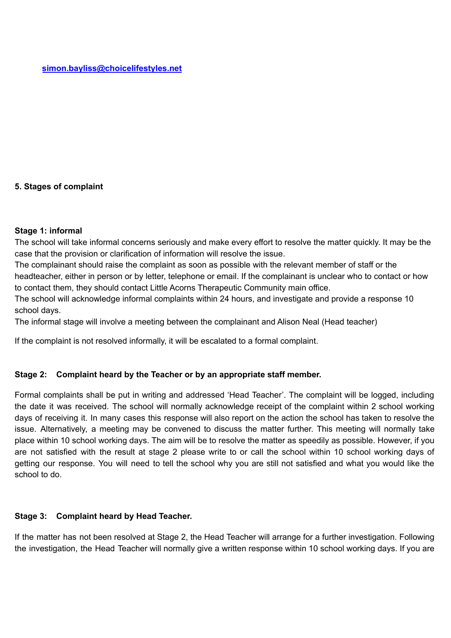## **5. Stages of complaint**

#### **Stage 1: informal**

The school will take informal concerns seriously and make every effort to resolve the matter quickly. It may be the case that the provision or clarification of information will resolve the issue.

The complainant should raise the complaint as soon as possible with the relevant member of staff or the headteacher, either in person or by letter, telephone or email. If the complainant is unclear who to contact or how to contact them, they should contact Little Acorns Therapeutic Community main office.

The school will acknowledge informal complaints within 24 hours, and investigate and provide a response 10 school days.

The informal stage will involve a meeting between the complainant and Alison Neal (Head teacher)

If the complaint is not resolved informally, it will be escalated to a formal complaint.

#### **Stage 2: Complaint heard by the Teacher or by an appropriate staff member.**

Formal complaints shall be put in writing and addressed 'Head Teacher'. The complaint will be logged, including the date it was received. The school will normally acknowledge receipt of the complaint within 2 school working days of receiving it. In many cases this response will also report on the action the school has taken to resolve the issue. Alternatively, a meeting may be convened to discuss the matter further. This meeting will normally take place within 10 school working days. The aim will be to resolve the matter as speedily as possible. However, if you are not satisfied with the result at stage 2 please write to or call the school within 10 school working days of getting our response. You will need to tell the school why you are still not satisfied and what you would like the school to do.

#### **Stage 3: Complaint heard by Head Teacher.**

If the matter has not been resolved at Stage 2, the Head Teacher will arrange for a further investigation. Following the investigation, the Head Teacher will normally give a written response within 10 school working days. If you are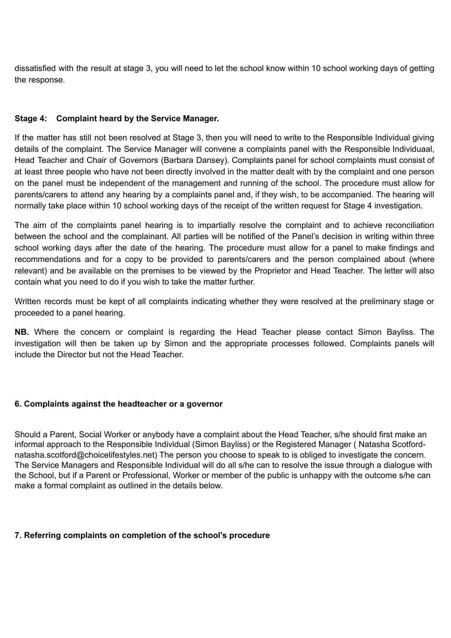dissatisfied with the result at stage 3, you will need to let the school know within 10 school working days of getting the response.

## **Stage 4: Complaint heard by the Service Manager.**

If the matter has still not been resolved at Stage 3, then you will need to write to the Responsible Individual giving details of the complaint. The Service Manager will convene a complaints panel with the Responsible Individuaal, Head Teacher and Chair of Governors (Barbara Dansey). Complaints panel for school complaints must consist of at least three people who have not been directly involved in the matter dealt with by the complaint and one person on the panel must be independent of the management and running of the school. The procedure must allow for parents/carers to attend any hearing by a complaints panel and, if they wish, to be accompanied. The hearing will normally take place within 10 school working days of the receipt of the written request for Stage 4 investigation.

The aim of the complaints panel hearing is to impartially resolve the complaint and to achieve reconciliation between the school and the complainant. All parties will be notified of the Panel's decision in writing within three school working days after the date of the hearing. The procedure must allow for a panel to make findings and recommendations and for a copy to be provided to parents/carers and the person complained about (where relevant) and be available on the premises to be viewed by the Proprietor and Head Teacher. The letter will also contain what you need to do if you wish to take the matter further.

Written records must be kept of all complaints indicating whether they were resolved at the preliminary stage or proceeded to a panel hearing.

**NB.** Where the concern or complaint is regarding the Head Teacher please contact Simon Bayliss. The investigation will then be taken up by Simon and the appropriate processes followed. Complaints panels will include the Director but not the Head Teacher.

#### **6. Complaints against the headteacher or a governor**

Should a Parent, Social Worker or anybody have a complaint about the Head Teacher, s/he should first make an informal approach to the Responsible Individual (Simon Bayliss) or the Registered Manager ( Natasha Scotfordnatasha.scotford@choicelifestyles.net) The person you choose to speak to is obliged to investigate the concern. The Service Managers and Responsible Individual will do all s/he can to resolve the issue through a dialogue with the School, but if a Parent or Professional, Worker or member of the public is unhappy with the outcome s/he can make a formal complaint as outlined in the details below.

#### **7. Referring complaints on completion of the school's procedure**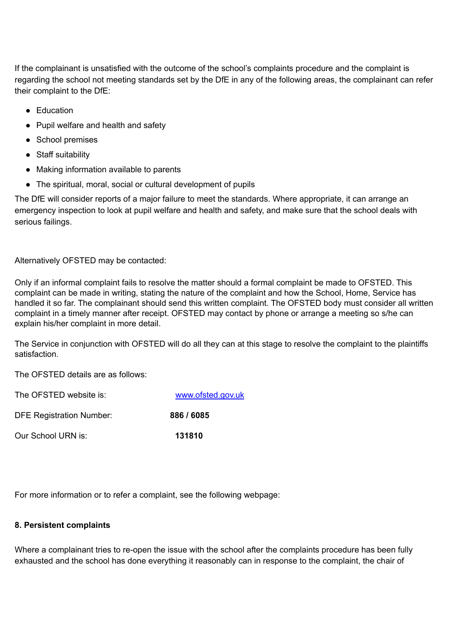If the complainant is unsatisfied with the outcome of the school's complaints procedure and the complaint is regarding the school not meeting standards set by the DfE in any of the following areas, the complainant can refer their complaint to the DfE:

- Education
- Pupil welfare and health and safety
- School premises
- Staff suitability
- Making information available to parents
- The spiritual, moral, social or cultural development of pupils

The DfE will consider reports of a major failure to meet the standards. Where appropriate, it can arrange an emergency inspection to look at pupil welfare and health and safety, and make sure that the school deals with serious failings.

Alternatively OFSTED may be contacted:

Only if an informal complaint fails to resolve the matter should a formal complaint be made to OFSTED. This complaint can be made in writing, stating the nature of the complaint and how the School, Home, Service has handled it so far. The complainant should send this written complaint. The OFSTED body must consider all written complaint in a timely manner after receipt. OFSTED may contact by phone or arrange a meeting so s/he can explain his/her complaint in more detail.

The Service in conjunction with OFSTED will do all they can at this stage to resolve the complaint to the plaintiffs satisfaction.

The OFSTED details are as follows:

| The OFSTED website is:          | www.ofsted.gov.uk |
|---------------------------------|-------------------|
| <b>DFE Registration Number:</b> | 886 / 6085        |
| Our School URN is:              | 131810            |

For more information or to refer a complaint, see the following webpage:

#### **8. Persistent [complaints](https://www.gov.uk/complain-about-school)**

Where a [complainant](https://www.gov.uk/complain-about-school) tries to re-open the issue with the school after the complaints procedure has been fully exhausted and the school has done everything it [reasonably](https://www.gov.uk/complain-about-school) can in response to the complaint, the chair of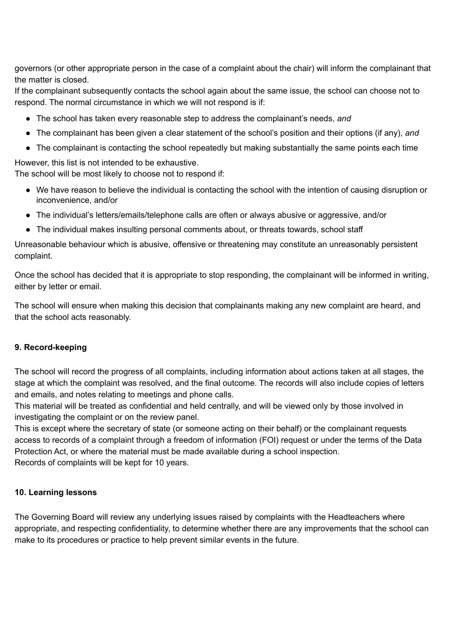governors (or other appropriate person in the case of a complaint about the chair) will inform the [complainant](https://www.gov.uk/complain-about-school) that the matter is [closed.](https://www.gov.uk/complain-about-school)

If the complainant [subsequently](https://www.gov.uk/complain-about-school) contacts the school again about the same issue, the school can choose not to respond. The normal [circumstance](https://www.gov.uk/complain-about-school) in which we will not respond is if:

- The school has taken every reasonable step to address the [complainant's](https://www.gov.uk/complain-about-school) needs, *and*
- The [complainant](https://www.gov.uk/complain-about-school) has been given a clear statement of the school's position and their options (if any), *and*
- The complainant is contacting the school repeatedly but making [substantially](https://www.gov.uk/complain-about-school) the same points each time

However, this list is not intended to be [exhaustive.](https://www.gov.uk/complain-about-school) The school will be most likely to choose not to [respond](https://www.gov.uk/complain-about-school) if:

- We have reason to believe the individual is [contacting](https://www.gov.uk/complain-about-school) the school with the intention of causing disruption or [inconvenience,](https://www.gov.uk/complain-about-school) and/or
- The individual's [letters/emails/telephone](https://www.gov.uk/complain-about-school) calls are often or always abusive or aggressive, and/or
- The individual makes insulting personal [comments](https://www.gov.uk/complain-about-school) about, or threats towards, school staff

[Unreasonable](https://www.gov.uk/complain-about-school) behaviour which is abusive, offensive or threatening may constitute an unreasonably persistent [complaint.](https://www.gov.uk/complain-about-school)

Once the school has decided that it is appropriate to stop responding, the [complainant](https://www.gov.uk/complain-about-school) will be informed in writing, either by letter or [email.](https://www.gov.uk/complain-about-school)

The school will ensure when making this decision that [complainants](https://www.gov.uk/complain-about-school) making any new complaint are heard, and that the school acts [reasonably.](https://www.gov.uk/complain-about-school)

## **[9.](https://www.gov.uk/complain-about-school) [Record-keeping](https://www.gov.uk/complain-about-school)**

The school will record the progress of all [complaints,](https://www.gov.uk/complain-about-school) including information about actions taken at all stages, the stage at which the [complaint](https://www.gov.uk/complain-about-school) was resolved, and the final outcome. The records will also include copies of letters and emails, and notes relating to [meetings](https://www.gov.uk/complain-about-school) and phone calls.

This material will be treated as [confidential](https://www.gov.uk/complain-about-school) and held centrally, and will be viewed only by those involved in [investigating](https://www.gov.uk/complain-about-school) the complaint or on the review panel.

This is except where the secretary of state (or someone acting on their behalf) or the [complainant](https://www.gov.uk/complain-about-school) requests access to records of a complaint through a freedom of [information](https://www.gov.uk/complain-about-school) (FOI) request or under the terms of the Data Protection Act, or where the material must be made available during a school [inspection.](https://www.gov.uk/complain-about-school) Records of [complaints](https://www.gov.uk/complain-about-school) will be kept for 10 years.

## **10. [Learning](https://www.gov.uk/complain-about-school) lessons**

The Governing Board will review any underlying issues raised by complaints with the [Headteachers](https://www.gov.uk/complain-about-school) where appropriate, and respecting confidentiality, to determine whether there are any [improvements](https://www.gov.uk/complain-about-school) that the school can make to its [procedures](https://www.gov.uk/complain-about-school) or practice to help prevent similar events in the future.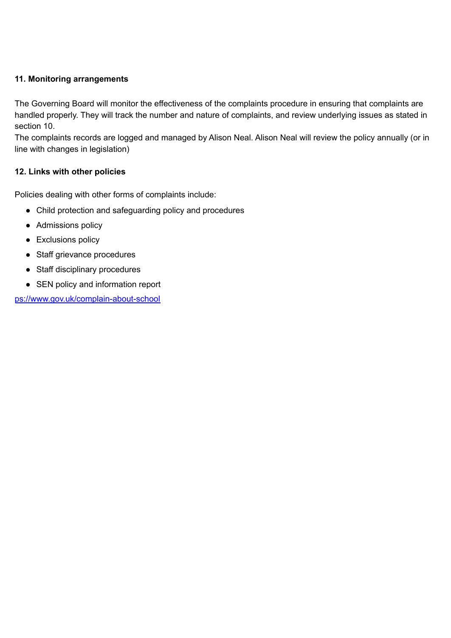## **[11](https://www.gov.uk/complain-about-school). Monitoring [arrangements](https://www.gov.uk/complain-about-school)**

The Governing Board will monitor the [effectiveness](https://www.gov.uk/complain-about-school) of the complaints procedure in ensuring that complaints are handled properly. They will track the number and nature of [complaints,](https://www.gov.uk/complain-about-school) and review underlying issues as stated in [section](https://www.gov.uk/complain-about-school) 10.

The [complaints](https://www.gov.uk/complain-about-school) records are logged and managed by Alison Neal. Alison Neal will review the policy annually (or in line with changes in [legislation\)](https://www.gov.uk/complain-about-school)

## **12. Links with other [policies](https://www.gov.uk/complain-about-school)**

Policies dealing with other forms of [complaints](https://www.gov.uk/complain-about-school) include:

- Child protection and [safeguarding](https://www.gov.uk/complain-about-school) policy and procedures
- [Admissions](https://www.gov.uk/complain-about-school) policy
- [Exclusions](https://www.gov.uk/complain-about-school) policy
- Staff grievance [procedures](https://www.gov.uk/complain-about-school)
- Staff disciplinary [procedures](https://www.gov.uk/complain-about-school)
- SEN policy and [information](https://www.gov.uk/complain-about-school) report

[ps://www.gov.uk/complain-about-school](https://www.gov.uk/complain-about-school)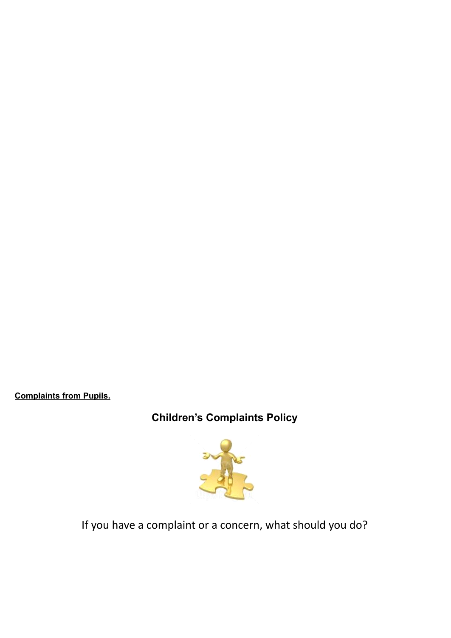**Complaints from Pupils.**

**Children's Complaints Policy**



If you have a complaint or a concern, what should you do?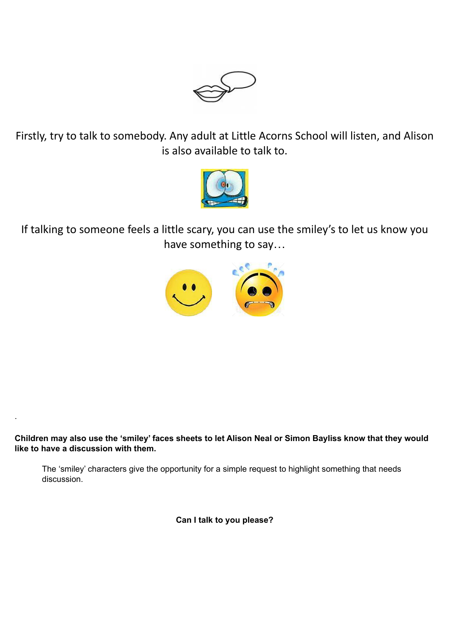

Firstly, try to talk to somebody. Any adult at Little Acorns School will listen, and Alison is also available to talk to.



If talking to someone feels a little scary, you can use the smiley's to let us know you have something to say…



Children may also use the 'smiley' faces sheets to let Alison Neal or Simon Bayliss know that they would **like to have a discussion with them.**

.

The 'smiley' characters give the opportunity for a simple request to highlight something that needs discussion.

**Can I talk to you please?**